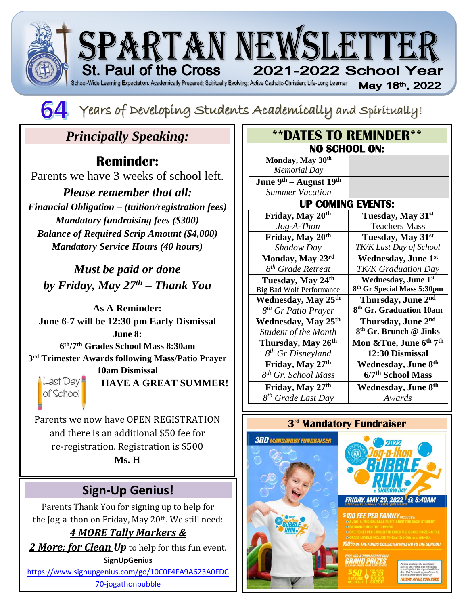



l

Years of Developing Students Academically and Spiritually!

# *Principally Speaking:*

## **Reminder:**

Parents we have 3 weeks of school left. *Please remember that all: Financial Obligation – (tuition/registration fees) Mandatory fundraising fees (\$300)*

*Balance of Required Scrip Amount (\$4,000) Mandatory Service Hours (40 hours)*

*Must be paid or done by Friday, May 27th – Thank You*

**As A Reminder: June 6-7 will be 12:30 pm Early Dismissal June 8: 6 th/7th Grades School Mass 8:30am 3 rd Trimester Awards following Mass/Patio Prayer 10am Dismissal** Last Day **HAVE A GREAT SUMMER!** of School

Parents we now have OPEN REGISTRATION and there is an additional \$50 fee for re-registration. Registration is \$500 **Ms. H**

# **Sign-Up Genius!**

Parents Thank You for signing up to help for the Jog-a-thon on Friday, May 20<sup>th</sup>. We still need:

## *4 MORE Tally Markers &*

2 More: for *Clean Up* to help for this fun event. **SignUpGenius** 

[https://www.signupgenius.com/go/10C0F4FA9A623A0FDC](https://www.signupgenius.com/go/10C0F4FA9A623A0FDC%2070-jogathonbubble)  [70-jogathonbubble](https://www.signupgenius.com/go/10C0F4FA9A623A0FDC%2070-jogathonbubble)

| <b><i>**DATES TO REMINDER**</i></b> |                                        |
|-------------------------------------|----------------------------------------|
| <b>NO SCHOOL ON:</b>                |                                        |
| Monday, May 30th                    |                                        |
| <b>Memorial Day</b>                 |                                        |
| June $9th$ – August $19th$          |                                        |
| <b>Summer Vacation</b>              |                                        |
| <b>UP COMING EVENTS:</b>            |                                        |
| Friday, May 20th                    | Tuesday, May 31st                      |
| $Jog-A-Then$                        | <b>Teachers Mass</b>                   |
| Friday, May 20th                    | Tuesday, May 31st                      |
| Shadow Day                          | TK/K Last Day of School                |
| Monday, May 23rd                    | <b>Wednesday, June 1st</b>             |
| 8 <sup>th</sup> Grade Retreat       | TK/K Graduation Day                    |
| Tuesday, May 24th                   | <b>Wednesday</b> , June 1st            |
| <b>Big Bad Wolf Performance</b>     | 8 <sup>th</sup> Gr Special Mass 5:30pm |
| Wednesday, May 25 <sup>th</sup>     | Thursday, June 2nd                     |
| 8 <sup>th</sup> Gr Patio Prayer     | 8 <sup>th</sup> Gr. Graduation 10am    |
| Wednesday, May 25 <sup>th</sup>     | Thursday, June 2nd                     |
| Student of the Month                | 8 <sup>th</sup> Gr. Brunch @ Jinks     |
| Thursday, May 26 <sup>th</sup>      | Mon & Tue, June 6th-7th                |
| 8 <sup>th</sup> Gr Disneyland       | 12:30 Dismissal                        |
| Friday, May 27th                    | Wednesday, June 8th                    |
| 8 <sup>th</sup> Gr. School Mass     | 6/7 <sup>th</sup> School Mass          |
| Friday, May 27th                    | <b>Wednesday, June 8th</b>             |
| 8 <sup>th</sup> Grade Last Day      | Awards                                 |

### **3 rd Mandatory Fundraiser**





.<br>DO% of the funds collected will go to 1